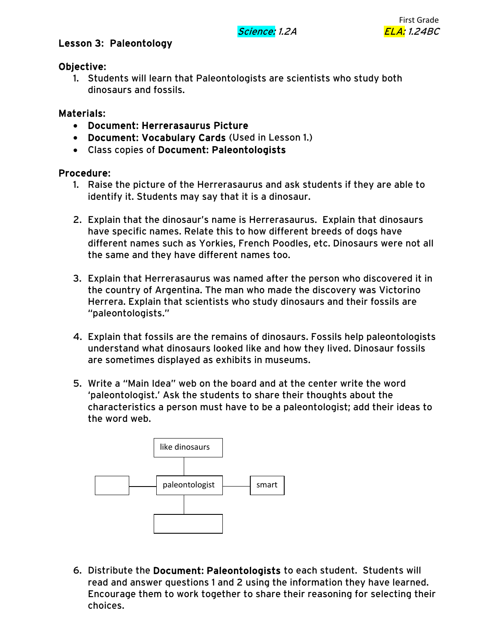# Lesson 3: Paleontology

### Objective:

1. Students will learn that Paleontologists are scientists who study both dinosaurs and fossils.

## Materials:

- Document: Herrerasaurus Picture
- Document: Vocabulary Cards (Used in Lesson 1.)
- Class copies of Document: Paleontologists

#### Procedure:

- 1. Raise the picture of the Herrerasaurus and ask students if they are able to identify it. Students may say that it is a dinosaur.
- 2. Explain that the dinosaur's name is Herrerasaurus. Explain that dinosaurs have specific names. Relate this to how different breeds of dogs have different names such as Yorkies, French Poodles, etc. Dinosaurs were not all the same and they have different names too.
- 3. Explain that Herrerasaurus was named after the person who discovered it in the country of Argentina. The man who made the discovery was Victorino Herrera. Explain that scientists who study dinosaurs and their fossils are "paleontologists."
- 4. Explain that fossils are the remains of dinosaurs. Fossils help paleontologists understand what dinosaurs looked like and how they lived. Dinosaur fossils are sometimes displayed as exhibits in museums.
- 5. Write a "Main Idea" web on the board and at the center write the word 'paleontologist.' Ask the students to share their thoughts about the characteristics a person must have to be a paleontologist; add their ideas to the word web.



6. Distribute the Document: Paleontologists to each student. Students will read and answer questions 1 and 2 using the information they have learned. Encourage them to work together to share their reasoning for selecting their choices.